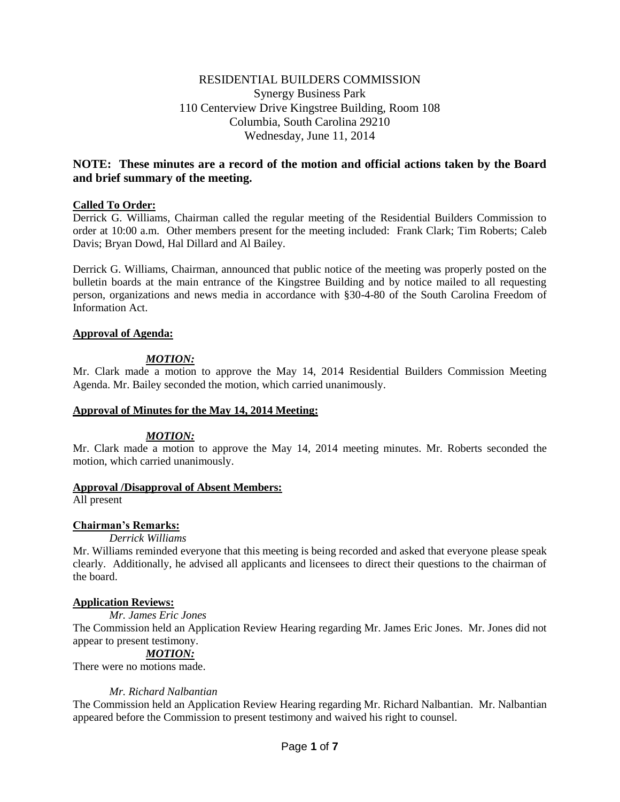# RESIDENTIAL BUILDERS COMMISSION Synergy Business Park 110 Centerview Drive Kingstree Building, Room 108 Columbia, South Carolina 29210 Wednesday, June 11, 2014

# **NOTE: These minutes are a record of the motion and official actions taken by the Board and brief summary of the meeting.**

## **Called To Order:**

Derrick G. Williams, Chairman called the regular meeting of the Residential Builders Commission to order at 10:00 a.m. Other members present for the meeting included: Frank Clark; Tim Roberts; Caleb Davis; Bryan Dowd, Hal Dillard and Al Bailey.

Derrick G. Williams, Chairman, announced that public notice of the meeting was properly posted on the bulletin boards at the main entrance of the Kingstree Building and by notice mailed to all requesting person, organizations and news media in accordance with §30-4-80 of the South Carolina Freedom of Information Act.

## **Approval of Agenda:**

## *MOTION:*

Mr. Clark made a motion to approve the May 14, 2014 Residential Builders Commission Meeting Agenda. Mr. Bailey seconded the motion, which carried unanimously.

## **Approval of Minutes for the May 14, 2014 Meeting:**

## *MOTION:*

Mr. Clark made a motion to approve the May 14, 2014 meeting minutes. Mr. Roberts seconded the motion, which carried unanimously.

## **Approval /Disapproval of Absent Members:**

All present

## **Chairman's Remarks:**

## *Derrick Williams*

Mr. Williams reminded everyone that this meeting is being recorded and asked that everyone please speak clearly. Additionally, he advised all applicants and licensees to direct their questions to the chairman of the board.

## **Application Reviews:**

*Mr. James Eric Jones*

The Commission held an Application Review Hearing regarding Mr. James Eric Jones. Mr. Jones did not appear to present testimony.

## *MOTION:*

There were no motions made.

## *Mr. Richard Nalbantian*

The Commission held an Application Review Hearing regarding Mr. Richard Nalbantian. Mr. Nalbantian appeared before the Commission to present testimony and waived his right to counsel.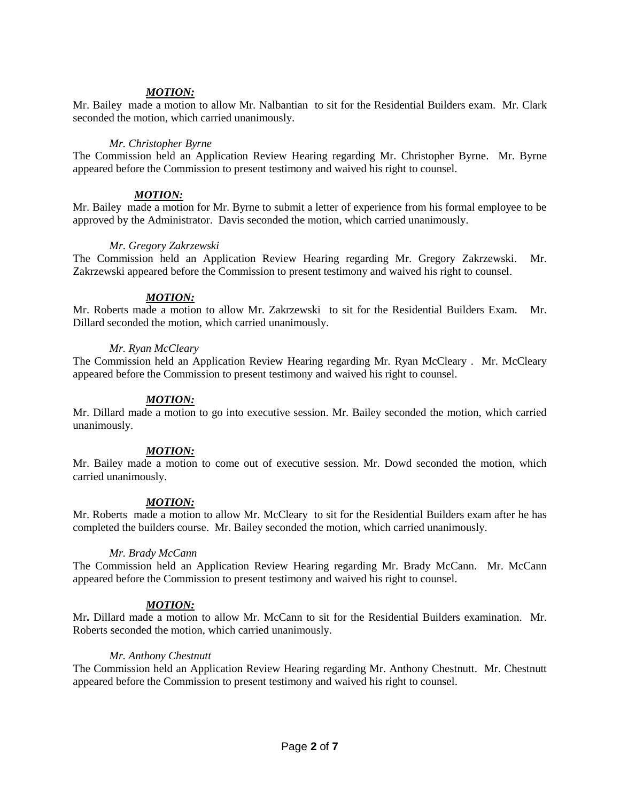## *MOTION:*

Mr. Bailey made a motion to allow Mr. Nalbantian to sit for the Residential Builders exam. Mr. Clark seconded the motion, which carried unanimously.

## *Mr. Christopher Byrne*

The Commission held an Application Review Hearing regarding Mr. Christopher Byrne. Mr. Byrne appeared before the Commission to present testimony and waived his right to counsel.

## *MOTION:*

Mr. Bailey made a motion for Mr. Byrne to submit a letter of experience from his formal employee to be approved by the Administrator. Davis seconded the motion, which carried unanimously.

### *Mr. Gregory Zakrzewski*

The Commission held an Application Review Hearing regarding Mr. Gregory Zakrzewski. Mr. Zakrzewski appeared before the Commission to present testimony and waived his right to counsel.

### *MOTION:*

Mr. Roberts made a motion to allow Mr. Zakrzewski to sit for the Residential Builders Exam. Mr. Dillard seconded the motion, which carried unanimously.

### *Mr. Ryan McCleary*

The Commission held an Application Review Hearing regarding Mr. Ryan McCleary . Mr. McCleary appeared before the Commission to present testimony and waived his right to counsel.

### *MOTION:*

Mr. Dillard made a motion to go into executive session. Mr. Bailey seconded the motion, which carried unanimously.

## *MOTION:*

Mr. Bailey made a motion to come out of executive session. Mr. Dowd seconded the motion, which carried unanimously.

## *MOTION:*

Mr. Roberts made a motion to allow Mr. McCleary to sit for the Residential Builders exam after he has completed the builders course. Mr. Bailey seconded the motion, which carried unanimously.

#### *Mr. Brady McCann*

The Commission held an Application Review Hearing regarding Mr. Brady McCann. Mr. McCann appeared before the Commission to present testimony and waived his right to counsel.

## *MOTION:*

Mr**.** Dillard made a motion to allow Mr. McCann to sit for the Residential Builders examination. Mr. Roberts seconded the motion, which carried unanimously.

#### *Mr. Anthony Chestnutt*

The Commission held an Application Review Hearing regarding Mr. Anthony Chestnutt. Mr. Chestnutt appeared before the Commission to present testimony and waived his right to counsel.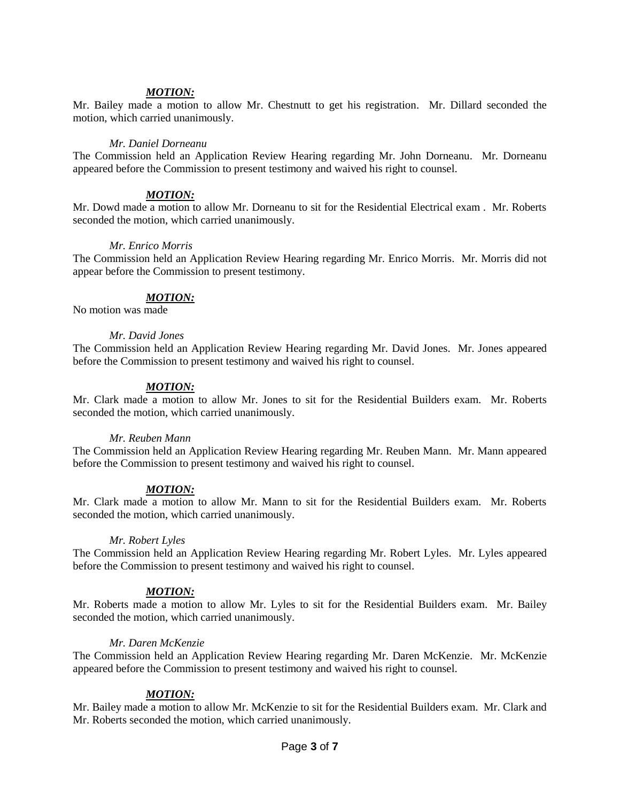## *MOTION:*

Mr. Bailey made a motion to allow Mr. Chestnutt to get his registration. Mr. Dillard seconded the motion, which carried unanimously.

### *Mr. Daniel Dorneanu*

The Commission held an Application Review Hearing regarding Mr. John Dorneanu. Mr. Dorneanu appeared before the Commission to present testimony and waived his right to counsel.

## *MOTION:*

Mr. Dowd made a motion to allow Mr. Dorneanu to sit for the Residential Electrical exam . Mr. Roberts seconded the motion, which carried unanimously.

### *Mr. Enrico Morris*

The Commission held an Application Review Hearing regarding Mr. Enrico Morris. Mr. Morris did not appear before the Commission to present testimony.

## *MOTION:*

No motion was made

### *Mr. David Jones*

The Commission held an Application Review Hearing regarding Mr. David Jones. Mr. Jones appeared before the Commission to present testimony and waived his right to counsel.

## *MOTION:*

Mr. Clark made a motion to allow Mr. Jones to sit for the Residential Builders exam. Mr. Roberts seconded the motion, which carried unanimously.

#### *Mr. Reuben Mann*

The Commission held an Application Review Hearing regarding Mr. Reuben Mann. Mr. Mann appeared before the Commission to present testimony and waived his right to counsel.

## *MOTION:*

Mr. Clark made a motion to allow Mr. Mann to sit for the Residential Builders exam. Mr. Roberts seconded the motion, which carried unanimously.

#### *Mr. Robert Lyles*

The Commission held an Application Review Hearing regarding Mr. Robert Lyles. Mr. Lyles appeared before the Commission to present testimony and waived his right to counsel.

## *MOTION:*

Mr. Roberts made a motion to allow Mr. Lyles to sit for the Residential Builders exam. Mr. Bailey seconded the motion, which carried unanimously.

## *Mr. Daren McKenzie*

The Commission held an Application Review Hearing regarding Mr. Daren McKenzie. Mr. McKenzie appeared before the Commission to present testimony and waived his right to counsel.

## *MOTION:*

Mr. Bailey made a motion to allow Mr. McKenzie to sit for the Residential Builders exam. Mr. Clark and Mr. Roberts seconded the motion, which carried unanimously.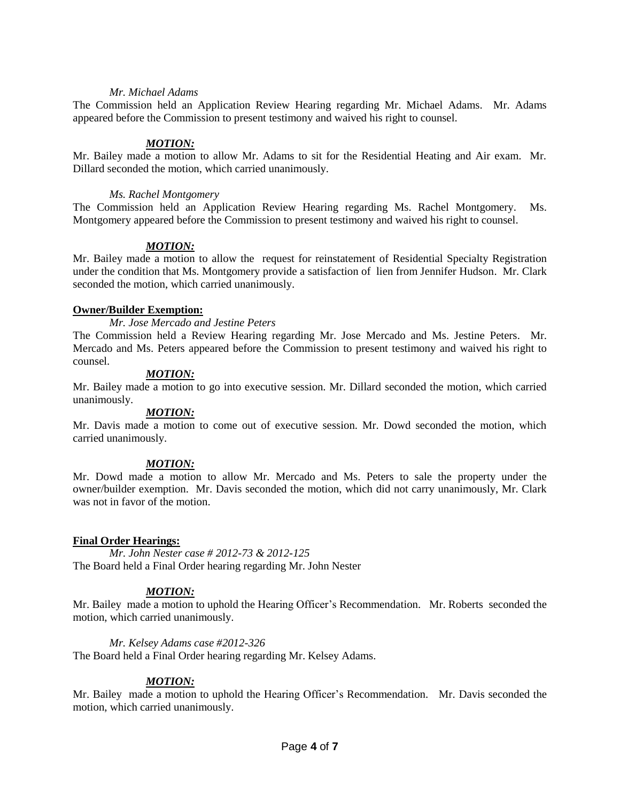### *Mr. Michael Adams*

The Commission held an Application Review Hearing regarding Mr. Michael Adams. Mr. Adams appeared before the Commission to present testimony and waived his right to counsel.

### *MOTION:*

Mr. Bailey made a motion to allow Mr. Adams to sit for the Residential Heating and Air exam. Mr. Dillard seconded the motion, which carried unanimously.

### *Ms. Rachel Montgomery*

The Commission held an Application Review Hearing regarding Ms. Rachel Montgomery. Ms. Montgomery appeared before the Commission to present testimony and waived his right to counsel.

### *MOTION:*

Mr. Bailey made a motion to allow the request for reinstatement of Residential Specialty Registration under the condition that Ms. Montgomery provide a satisfaction of lien from Jennifer Hudson. Mr. Clark seconded the motion, which carried unanimously.

### **Owner/Builder Exemption:**

*Mr. Jose Mercado and Jestine Peters*

The Commission held a Review Hearing regarding Mr. Jose Mercado and Ms. Jestine Peters. Mr. Mercado and Ms. Peters appeared before the Commission to present testimony and waived his right to counsel.

### *MOTION:*

Mr. Bailey made a motion to go into executive session. Mr. Dillard seconded the motion, which carried unanimously.

## *MOTION:*

Mr. Davis made a motion to come out of executive session. Mr. Dowd seconded the motion, which carried unanimously.

#### *MOTION:*

Mr. Dowd made a motion to allow Mr. Mercado and Ms. Peters to sale the property under the owner/builder exemption. Mr. Davis seconded the motion, which did not carry unanimously, Mr. Clark was not in favor of the motion.

## **Final Order Hearings:**

*Mr. John Nester case # 2012-73 & 2012-125* The Board held a Final Order hearing regarding Mr. John Nester

## *MOTION:*

Mr. Bailey made a motion to uphold the Hearing Officer's Recommendation. Mr. Roberts seconded the motion, which carried unanimously.

#### *Mr. Kelsey Adams case #2012-326*

The Board held a Final Order hearing regarding Mr. Kelsey Adams.

## *MOTION:*

Mr. Bailey made a motion to uphold the Hearing Officer's Recommendation. Mr. Davis seconded the motion, which carried unanimously.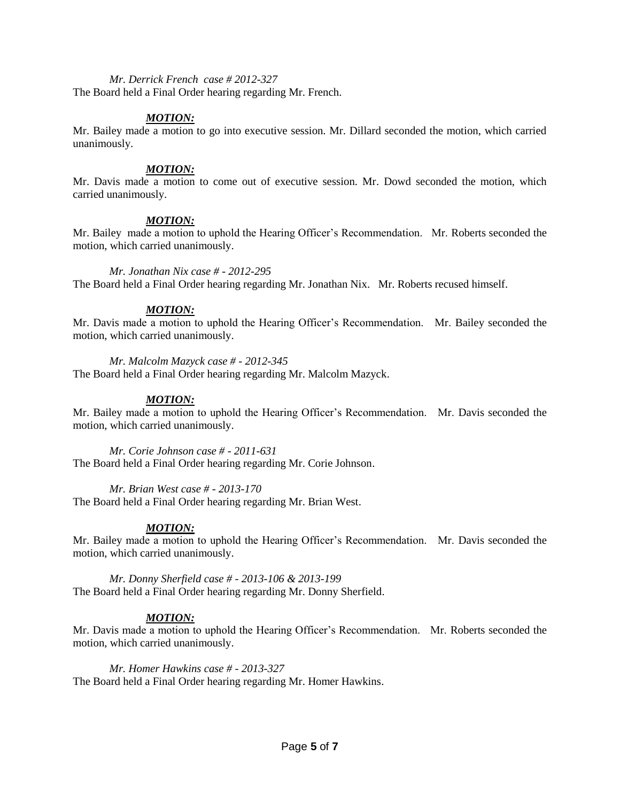### *Mr. Derrick French case # 2012-327*

The Board held a Final Order hearing regarding Mr. French.

### *MOTION:*

Mr. Bailey made a motion to go into executive session. Mr. Dillard seconded the motion, which carried unanimously.

### *MOTION:*

Mr. Davis made a motion to come out of executive session. Mr. Dowd seconded the motion, which carried unanimously.

## *MOTION:*

Mr. Bailey made a motion to uphold the Hearing Officer's Recommendation. Mr. Roberts seconded the motion, which carried unanimously.

#### *Mr. Jonathan Nix case # - 2012-295*

The Board held a Final Order hearing regarding Mr. Jonathan Nix. Mr. Roberts recused himself.

## *MOTION:*

Mr. Davis made a motion to uphold the Hearing Officer's Recommendation. Mr. Bailey seconded the motion, which carried unanimously.

#### *Mr. Malcolm Mazyck case # - 2012-345*

The Board held a Final Order hearing regarding Mr. Malcolm Mazyck.

## *MOTION:*

Mr. Bailey made a motion to uphold the Hearing Officer's Recommendation. Mr. Davis seconded the motion, which carried unanimously.

*Mr. Corie Johnson case # - 2011-631*  The Board held a Final Order hearing regarding Mr. Corie Johnson.

*Mr. Brian West case # - 2013-170* 

The Board held a Final Order hearing regarding Mr. Brian West.

## *MOTION:*

Mr. Bailey made a motion to uphold the Hearing Officer's Recommendation. Mr. Davis seconded the motion, which carried unanimously.

*Mr. Donny Sherfield case # - 2013-106 & 2013-199*  The Board held a Final Order hearing regarding Mr. Donny Sherfield.

## *MOTION:*

Mr. Davis made a motion to uphold the Hearing Officer's Recommendation. Mr. Roberts seconded the motion, which carried unanimously.

*Mr. Homer Hawkins case # - 2013-327* 

The Board held a Final Order hearing regarding Mr. Homer Hawkins.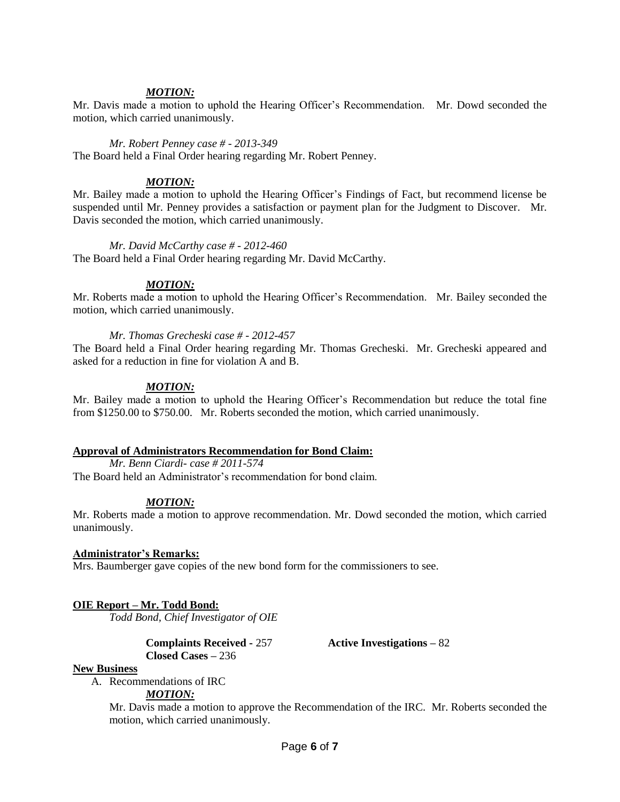## *MOTION:*

Mr. Davis made a motion to uphold the Hearing Officer's Recommendation. Mr. Dowd seconded the motion, which carried unanimously.

### *Mr. Robert Penney case # - 2013-349*

The Board held a Final Order hearing regarding Mr. Robert Penney.

### *MOTION:*

Mr. Bailey made a motion to uphold the Hearing Officer's Findings of Fact, but recommend license be suspended until Mr. Penney provides a satisfaction or payment plan for the Judgment to Discover. Mr. Davis seconded the motion, which carried unanimously.

## *Mr. David McCarthy case # - 2012-460*

The Board held a Final Order hearing regarding Mr. David McCarthy.

## *MOTION:*

Mr. Roberts made a motion to uphold the Hearing Officer's Recommendation. Mr. Bailey seconded the motion, which carried unanimously.

### *Mr. Thomas Grecheski case # - 2012-457*

The Board held a Final Order hearing regarding Mr. Thomas Grecheski. Mr. Grecheski appeared and asked for a reduction in fine for violation A and B.

## *MOTION:*

Mr. Bailey made a motion to uphold the Hearing Officer's Recommendation but reduce the total fine from \$1250.00 to \$750.00. Mr. Roberts seconded the motion, which carried unanimously.

## **Approval of Administrators Recommendation for Bond Claim:**

*Mr. Benn Ciardi- case # 2011-574*

The Board held an Administrator's recommendation for bond claim.

## *MOTION:*

Mr. Roberts made a motion to approve recommendation. Mr. Dowd seconded the motion, which carried unanimously.

## **Administrator's Remarks:**

Mrs. Baumberger gave copies of the new bond form for the commissioners to see.

## **OIE Report – Mr. Todd Bond:**

*Todd Bond, Chief Investigator of OIE*

**Complaints Received -** 257 **Active Investigations –** 82 **Closed Cases –** 236

#### **New Business**

A. Recommendations of IRC

*MOTION:*

Mr. Davis made a motion to approve the Recommendation of the IRC. Mr. Roberts seconded the motion, which carried unanimously.